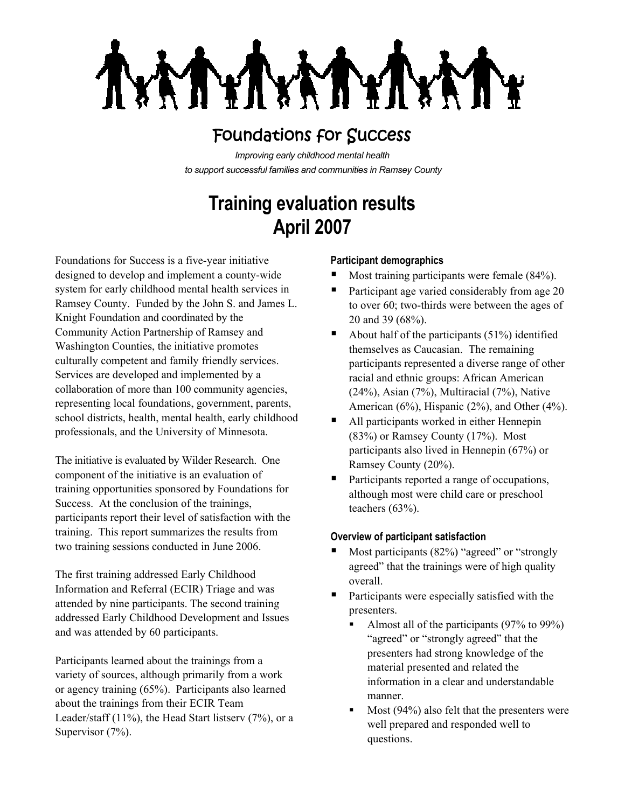**XATYT LAY** 

## Foundations for Success

*Improving early childhood mental health to support successful families and communities in Ramsey County*

# **Training evaluation results April 2007**

Foundations for Success is a five-year initiative designed to develop and implement a county-wide system for early childhood mental health services in Ramsey County. Funded by the John S. and James L. Knight Foundation and coordinated by the Community Action Partnership of Ramsey and Washington Counties, the initiative promotes culturally competent and family friendly services. Services are developed and implemented by a collaboration of more than 100 community agencies, representing local foundations, government, parents, school districts, health, mental health, early childhood professionals, and the University of Minnesota.

The initiative is evaluated by Wilder Research. One component of the initiative is an evaluation of training opportunities sponsored by Foundations for Success. At the conclusion of the trainings, participants report their level of satisfaction with the training. This report summarizes the results from two training sessions conducted in June 2006.

The first training addressed Early Childhood Information and Referral (ECIR) Triage and was attended by nine participants. The second training addressed Early Childhood Development and Issues and was attended by 60 participants.

Participants learned about the trainings from a variety of sources, although primarily from a work or agency training (65%). Participants also learned about the trainings from their ECIR Team Leader/staff (11%), the Head Start listserv (7%), or a Supervisor  $(7%)$ .

### **Participant demographics**

- Most training participants were female (84%).
- Participant age varied considerably from age 20 to over 60; two-thirds were between the ages of 20 and 39 (68%).
- About half of the participants  $(51\%)$  identified themselves as Caucasian. The remaining participants represented a diverse range of other racial and ethnic groups: African American (24%), Asian (7%), Multiracial (7%), Native American (6%), Hispanic (2%), and Other (4%).
- All participants worked in either Hennepin (83%) or Ramsey County (17%). Most participants also lived in Hennepin (67%) or Ramsey County (20%).
- Participants reported a range of occupations, although most were child care or preschool teachers (63%).

### **Overview of participant satisfaction**

- Most participants (82%) "agreed" or "strongly agreed" that the trainings were of high quality overall.
- Participants were especially satisfied with the presenters.
	- Almost all of the participants (97% to 99%) "agreed" or "strongly agreed" that the presenters had strong knowledge of the material presented and related the information in a clear and understandable manner.
	- Most (94%) also felt that the presenters were well prepared and responded well to questions.